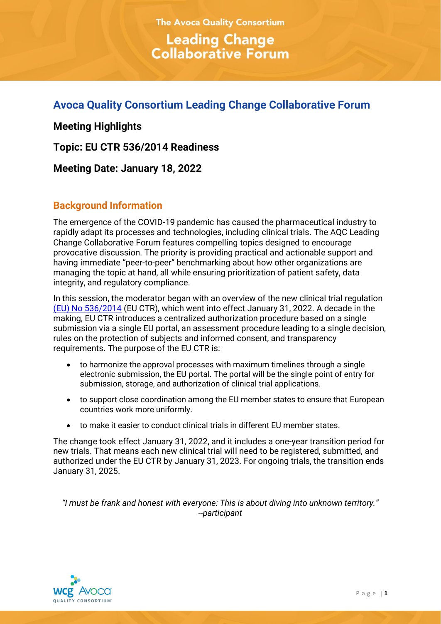**The Avoca Quality Consortium Leading Change Collaborative Forum** 

# **Avoca Quality Consortium Leading Change Collaborative Forum**

**Meeting Highlights**

**Topic: EU CTR 536/2014 Readiness**

**Meeting Date: January 18, 2022**

## **Background Information**

The emergence of the COVID-19 pandemic has caused the pharmaceutical industry to rapidly adapt its processes and technologies, including clinical trials. The AQC Leading Change Collaborative Forum features compelling topics designed to encourage provocative discussion. The priority is providing practical and actionable support and having immediate "peer-to-peer" benchmarking about how other organizations are managing the topic at hand, all while ensuring prioritization of patient safety, data integrity, and regulatory compliance.

In this session, the moderator began with an overview of the new clinical trial regulation [\(EU\) No 536/2014](https://ec.europa.eu/health/human-use/clinical-trials/regulation_en) (EU CTR), which went into effect January 31, 2022. A decade in the making, EU CTR introduces a centralized authorization procedure based on a single submission via a single EU portal, an assessment procedure leading to a single decision, rules on the protection of subjects and informed consent, and transparency requirements. The purpose of the EU CTR is:

- to harmonize the approval processes with maximum timelines through a single electronic submission, the EU portal. The portal will be the single point of entry for submission, storage, and authorization of clinical trial applications.
- to support close coordination among the EU member states to ensure that European countries work more uniformly.
- to make it easier to conduct clinical trials in different EU member states.

The change took effect January 31, 2022, and it includes a one-year transition period for new trials. That means each new clinical trial will need to be registered, submitted, and authorized under the EU CTR by January 31, 2023. For ongoing trials, the transition ends January 31, 2025.

*"I must be frank and honest with everyone: This is about diving into unknown territory." --participant*

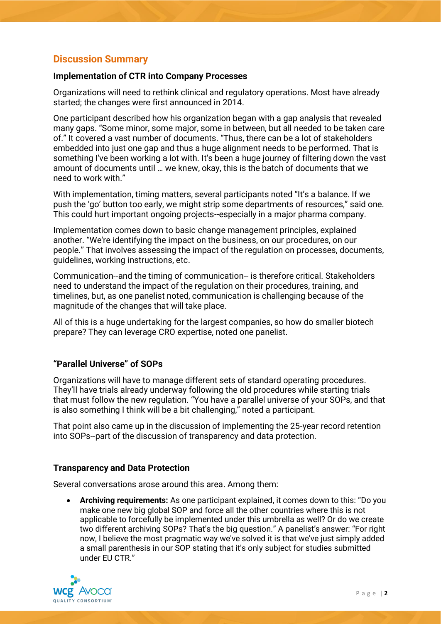## **Discussion Summary**

#### **Implementation of CTR into Company Processes**

Organizations will need to rethink clinical and regulatory operations. Most have already started; the changes were first announced in 2014.

One participant described how his organization began with a gap analysis that revealed many gaps. "Some minor, some major, some in between, but all needed to be taken care of." It covered a vast number of documents. "Thus, there can be a lot of stakeholders embedded into just one gap and thus a huge alignment needs to be performed. That is something I've been working a lot with. It's been a huge journey of filtering down the vast amount of documents until … we knew, okay, this is the batch of documents that we need to work with."

With implementation, timing matters, several participants noted "It's a balance. If we push the 'go' button too early, we might strip some departments of resources," said one. This could hurt important ongoing projects--especially in a major pharma company.

Implementation comes down to basic change management principles, explained another. "We're identifying the impact on the business, on our procedures, on our people." That involves assessing the impact of the regulation on processes, documents, guidelines, working instructions, etc.

Communication--and the timing of communication-- is therefore critical. Stakeholders need to understand the impact of the regulation on their procedures, training, and timelines, but, as one panelist noted, communication is challenging because of the magnitude of the changes that will take place.

All of this is a huge undertaking for the largest companies, so how do smaller biotech prepare? They can leverage CRO expertise, noted one panelist.

#### **"Parallel Universe" of SOPs**

Organizations will have to manage different sets of standard operating procedures. They'll have trials already underway following the old procedures while starting trials that must follow the new regulation. "You have a parallel universe of your SOPs, and that is also something I think will be a bit challenging," noted a participant.

That point also came up in the discussion of implementing the 25-year record retention into SOPs--part of the discussion of transparency and data protection.

#### **Transparency and Data Protection**

Several conversations arose around this area. Among them:

• **Archiving requirements:** As one participant explained, it comes down to this: "Do you make one new big global SOP and force all the other countries where this is not applicable to forcefully be implemented under this umbrella as well? Or do we create two different archiving SOPs? That's the big question." A panelist's answer: "For right now, I believe the most pragmatic way we've solved it is that we've just simply added a small parenthesis in our SOP stating that it's only subject for studies submitted under EU CTR."